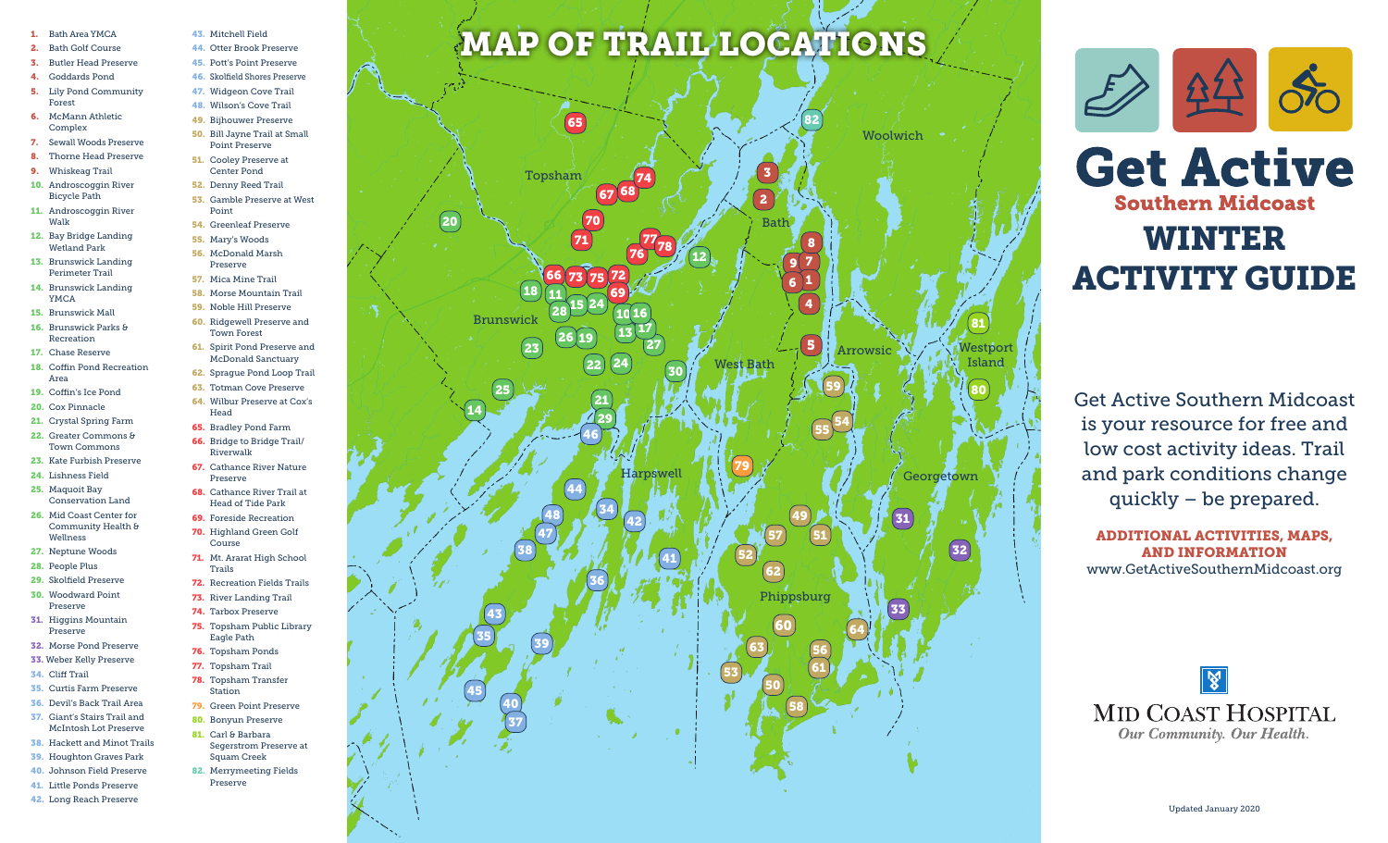- 1. Bath Area YMCA
- 2. Bath Golf Course
- 3. Butler Head Preserve
- 4. Goddards Pond
- 5. Lily Pond Community Forest
- 6. McMann Athletic Complex
- 7. Sewall Woods Preserve
- 8. Thorne Head Preserve
- 9. Whiskeag Trail
- 10. Androscoggin River Bicycle Path
- 11. Androscoggin River Walk
- 12. Bay Bridge Landing Wetland Park
- 13. Brunswick Landing Perimeter Trail
- 14. Brunswick Landing YMCA
- 15. Brunswick Mall
- 16. Brunswick Parks & Recreation
- 17. Chase Reserve
- 18. Coffin Pond Recreation Area
- 19. Coffin's Ice Pond 20. Cox Pinnacle
- 21. Crystal Spring Farm
- 22. Greater Commons & Town Commons

23. Kate Furbish Preserve 24. Lishness Field

66. Bridge to Bridge Trail/ Riverwalk

Trails

Head of Tide Park 69. Foreside Recreation 70. Highland Green Golf Course

73. River Landing Trail 74. Tarbox Preserve

Eagle Path 76. Topsham Ponds 77. Topsham Trail 78. Topsham Transfer Station 79. Green Point Preserve 80. Bonyun Preserve 81. Carl & Barbara

Squam Creek 82. Merrymeeting Fields Preserve

Head 65. Bradley Pond Farm

Town Forest

McDonald Sanctuary

43. Mitchell Field 44. Otter Brook Preserve 45. Pott's Point Preserve

47. Widgeon Cove Trail 48. Wilson's Cove Trail 49. Bijhouwer Preserve

Point Preserve 51. Cooley Preserve at Center Pond 52. Denny Reed Trail

Point 54. Greenleaf Preserve 55. Mary's Woods 56. McDonald Marsh Preserve 57. Mica Mine Trail 58. Morse Mountain Trail 59. Noble Hill Preserve

- 67. Cathance River Nature Preserve
- 25. Maquoit Bay Conservation Land
- 26. Mid Coast Center for Community Health & Wellness
- 27. Neptune Woods
- 28. People Plus
- 29. Skolfield Preserve
- 30. Woodward Point Preserve
- 31. Higgins Mountain Preserve
- 32. Morse Pond Preserve
- 33. Weber Kelly Preserve
- 34. Cliff Trail
- 35. Curtis Farm Preserve
- 36. Devil's Back Trail Area 37. Giant's Stairs Trail and
- McIntosh Lot Preserve 38. Hackett and Minot Trails
- 39. Houghton Graves Park
- 40. Johnson Field Preserve
- 41. Little Ponds Preserve
- 42. Long Reach Preserve

## MAP OF TRAIL LOCATIONS





Get Active Southern Midcoast is your resource for free and low cost activity ideas. Trail and park conditions change quickly – be prepared.

ADDITIONAL ACTIVITIES, MAPS, AND INFORMATION www.GetActiveSouthernMidcoast.org